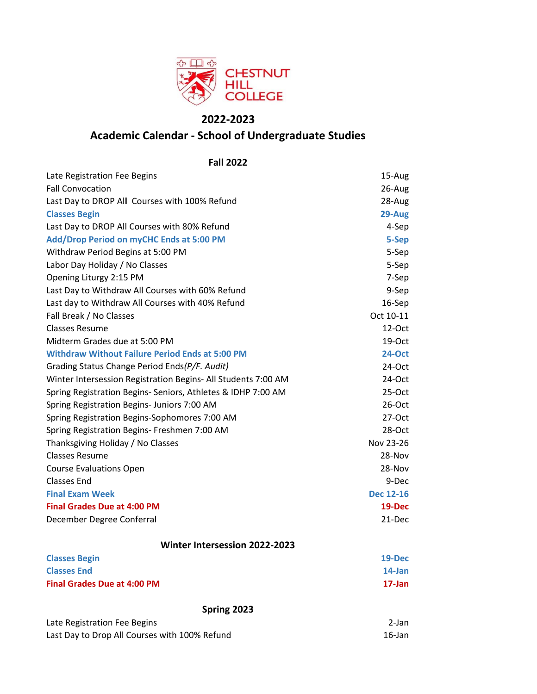

## **2022-2023**

# **Academic Calendar - School of Undergraduate Studies**

**Fall 2022**

| 15-Aug           |
|------------------|
| 26-Aug           |
| 28-Aug           |
| 29-Aug           |
| 4-Sep            |
| 5-Sep            |
| 5-Sep            |
| 5-Sep            |
| 7-Sep            |
| 9-Sep            |
| 16-Sep           |
| Oct 10-11        |
| 12-Oct           |
| 19-Oct           |
| <b>24-Oct</b>    |
| $24-Oct$         |
| 24-Oct           |
| $25-Oct$         |
| 26-Oct           |
| 27-Oct           |
| 28-Oct           |
| Nov 23-26        |
| 28-Nov           |
| 28-Nov           |
| 9-Dec            |
| <b>Dec 12-16</b> |
| <b>19-Dec</b>    |
| 21-Dec           |
|                  |
| 19-Dec           |
| 14-Jan           |
| 17-Jan           |
|                  |
| 2-Jan            |
| 16-Jan           |
|                  |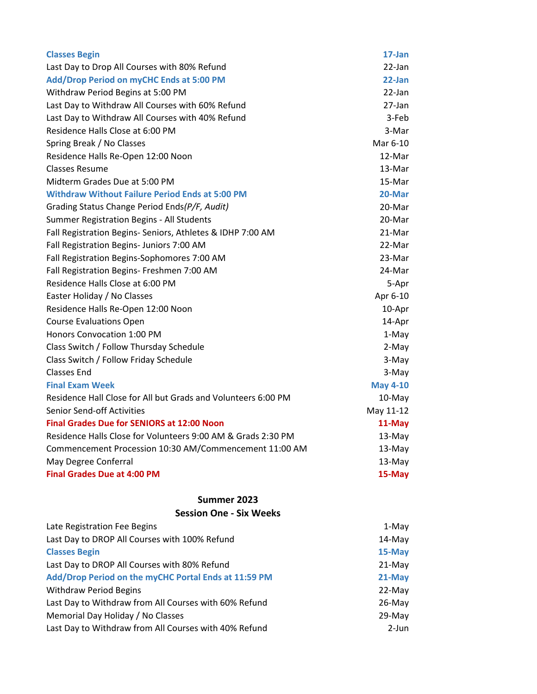| <b>Classes Begin</b>                                          | $17$ -Jan       |
|---------------------------------------------------------------|-----------------|
| Last Day to Drop All Courses with 80% Refund                  | $22$ -Jan       |
| Add/Drop Period on myCHC Ends at 5:00 PM                      | $22$ -Jan       |
| Withdraw Period Begins at 5:00 PM                             | 22-Jan          |
| Last Day to Withdraw All Courses with 60% Refund              | 27-Jan          |
| Last Day to Withdraw All Courses with 40% Refund              | 3-Feb           |
| Residence Halls Close at 6:00 PM                              | 3-Mar           |
| Spring Break / No Classes                                     | Mar 6-10        |
| Residence Halls Re-Open 12:00 Noon                            | 12-Mar          |
| <b>Classes Resume</b>                                         | 13-Mar          |
| Midterm Grades Due at 5:00 PM                                 | 15-Mar          |
| <b>Withdraw Without Failure Period Ends at 5:00 PM</b>        | 20-Mar          |
| Grading Status Change Period Ends(P/F, Audit)                 | 20-Mar          |
| Summer Registration Begins - All Students                     | 20-Mar          |
| Fall Registration Begins- Seniors, Athletes & IDHP 7:00 AM    | 21-Mar          |
| Fall Registration Begins- Juniors 7:00 AM                     | 22-Mar          |
| Fall Registration Begins-Sophomores 7:00 AM                   | 23-Mar          |
| Fall Registration Begins- Freshmen 7:00 AM                    | 24-Mar          |
| Residence Halls Close at 6:00 PM                              | 5-Apr           |
| Easter Holiday / No Classes                                   | Apr 6-10        |
| Residence Halls Re-Open 12:00 Noon                            | 10-Apr          |
| <b>Course Evaluations Open</b>                                | 14-Apr          |
| Honors Convocation 1:00 PM                                    | 1-May           |
| Class Switch / Follow Thursday Schedule                       | 2-May           |
| Class Switch / Follow Friday Schedule                         | 3-May           |
| <b>Classes End</b>                                            | 3-May           |
| <b>Final Exam Week</b>                                        | <b>May 4-10</b> |
| Residence Hall Close for All but Grads and Volunteers 6:00 PM | 10-May          |
| <b>Senior Send-off Activities</b>                             | May 11-12       |
| <b>Final Grades Due for SENIORS at 12:00 Noon</b>             | 11-May          |
| Residence Halls Close for Volunteers 9:00 AM & Grads 2:30 PM  | 13-May          |
| Commencement Procession 10:30 AM/Commencement 11:00 AM        | 13-May          |
| May Degree Conferral                                          | 13-May          |
| <b>Final Grades Due at 4:00 PM</b>                            | 15-May          |
|                                                               |                 |

## **Summer 2023**

#### **Session One - Six Weeks**

| Late Registration Fee Begins                          | 1-May     |
|-------------------------------------------------------|-----------|
| Last Day to DROP All Courses with 100% Refund         | $14$ -May |
| <b>Classes Begin</b>                                  | $15$ -May |
| Last Day to DROP All Courses with 80% Refund          | $21-May$  |
| Add/Drop Period on the myCHC Portal Ends at 11:59 PM  | 21-May    |
| <b>Withdraw Period Begins</b>                         | $22$ -May |
| Last Day to Withdraw from All Courses with 60% Refund | $26$ -May |
| Memorial Day Holiday / No Classes                     | $29-May$  |
| Last Day to Withdraw from All Courses with 40% Refund | $2$ -Jun  |